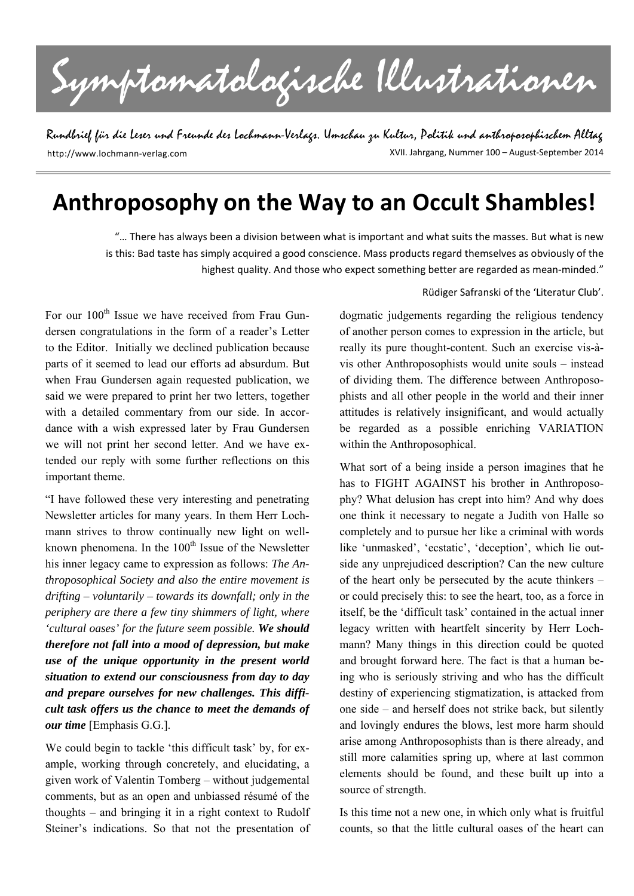Symptomatologische Illustrationen

Rundbrief für die Leser und Freunde des Lochmann-Verlags. Umschau zu Kultur, Politik und anthroposophischem Alltag XVII. Jahrgang, Nummer 100 – August‐September 2014 http://www.lochmann‐verlag.com

# **Anthroposophy on the Way to an Occult Shambles!**

"… There has always been a division between what is important and what suits the masses. But what is new is this: Bad taste has simply acquired a good conscience. Mass products regard themselves as obviously of the highest quality. And those who expect something better are regarded as mean-minded."

For our 100<sup>th</sup> Issue we have received from Frau Gundersen congratulations in the form of a reader's Letter to the Editor. Initially we declined publication because parts of it seemed to lead our efforts ad absurdum. But when Frau Gundersen again requested publication, we said we were prepared to print her two letters, together with a detailed commentary from our side. In accordance with a wish expressed later by Frau Gundersen we will not print her second letter. And we have extended our reply with some further reflections on this important theme.

"I have followed these very interesting and penetrating Newsletter articles for many years. In them Herr Lochmann strives to throw continually new light on wellknown phenomena. In the  $100<sup>th</sup>$  Issue of the Newsletter his inner legacy came to expression as follows: *The Anthroposophical Society and also the entire movement is drifting – voluntarily – towards its downfall; only in the periphery are there a few tiny shimmers of light, where 'cultural oases' for the future seem possible. We should therefore not fall into a mood of depression, but make use of the unique opportunity in the present world situation to extend our consciousness from day to day and prepare ourselves for new challenges. This difficult task offers us the chance to meet the demands of our time* [Emphasis G.G.].

We could begin to tackle 'this difficult task' by, for example, working through concretely, and elucidating, a given work of Valentin Tomberg – without judgemental comments, but as an open and unbiassed résumé of the thoughts – and bringing it in a right context to Rudolf Steiner's indications. So that not the presentation of

#### Rüdiger Safranski of the 'Literatur Club'.

dogmatic judgements regarding the religious tendency of another person comes to expression in the article, but really its pure thought-content. Such an exercise vis-àvis other Anthroposophists would unite souls – instead of dividing them. The difference between Anthroposophists and all other people in the world and their inner attitudes is relatively insignificant, and would actually be regarded as a possible enriching VARIATION within the Anthroposophical.

What sort of a being inside a person imagines that he has to FIGHT AGAINST his brother in Anthroposophy? What delusion has crept into him? And why does one think it necessary to negate a Judith von Halle so completely and to pursue her like a criminal with words like 'unmasked', 'ecstatic', 'deception', which lie outside any unprejudiced description? Can the new culture of the heart only be persecuted by the acute thinkers – or could precisely this: to see the heart, too, as a force in itself, be the 'difficult task' contained in the actual inner legacy written with heartfelt sincerity by Herr Lochmann? Many things in this direction could be quoted and brought forward here. The fact is that a human being who is seriously striving and who has the difficult destiny of experiencing stigmatization, is attacked from one side – and herself does not strike back, but silently and lovingly endures the blows, lest more harm should arise among Anthroposophists than is there already, and still more calamities spring up, where at last common elements should be found, and these built up into a source of strength.

Is this time not a new one, in which only what is fruitful counts, so that the little cultural oases of the heart can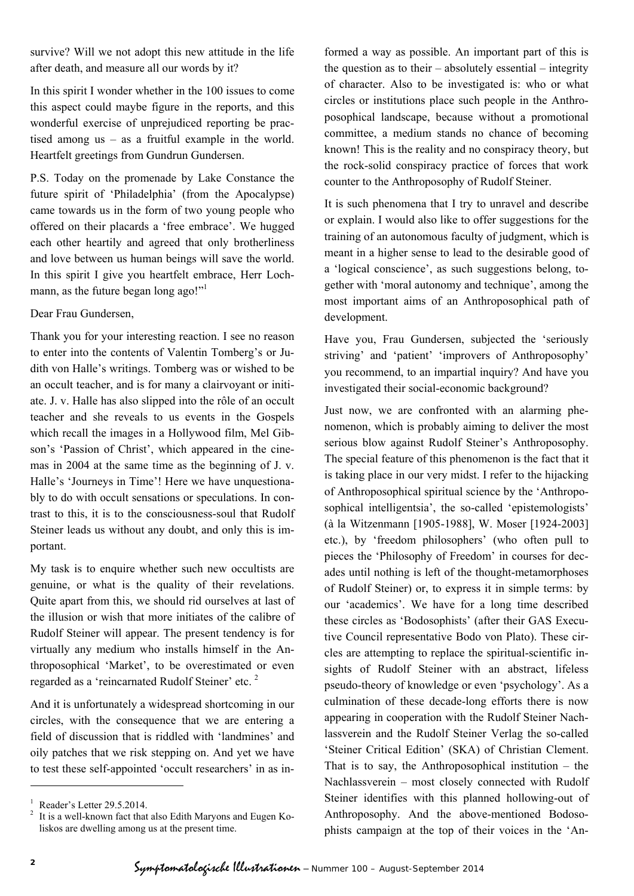survive? Will we not adopt this new attitude in the life after death, and measure all our words by it?

In this spirit I wonder whether in the 100 issues to come this aspect could maybe figure in the reports, and this wonderful exercise of unprejudiced reporting be practised among us – as a fruitful example in the world. Heartfelt greetings from Gundrun Gundersen.

P.S. Today on the promenade by Lake Constance the future spirit of 'Philadelphia' (from the Apocalypse) came towards us in the form of two young people who offered on their placards a 'free embrace'. We hugged each other heartily and agreed that only brotherliness and love between us human beings will save the world. In this spirit I give you heartfelt embrace, Herr Lochmann, as the future began long ago!"<sup>1</sup>

Dear Frau Gundersen,

Thank you for your interesting reaction. I see no reason to enter into the contents of Valentin Tomberg's or Judith von Halle's writings. Tomberg was or wished to be an occult teacher, and is for many a clairvoyant or initiate. J. v. Halle has also slipped into the rôle of an occult teacher and she reveals to us events in the Gospels which recall the images in a Hollywood film, Mel Gibson's 'Passion of Christ', which appeared in the cinemas in 2004 at the same time as the beginning of J. v. Halle's 'Journeys in Time'! Here we have unquestionably to do with occult sensations or speculations. In contrast to this, it is to the consciousness-soul that Rudolf Steiner leads us without any doubt, and only this is important.

My task is to enquire whether such new occultists are genuine, or what is the quality of their revelations. Quite apart from this, we should rid ourselves at last of the illusion or wish that more initiates of the calibre of Rudolf Steiner will appear. The present tendency is for virtually any medium who installs himself in the Anthroposophical 'Market', to be overestimated or even regarded as a 'reincarnated Rudolf Steiner' etc.<sup>2</sup>

And it is unfortunately a widespread shortcoming in our circles, with the consequence that we are entering a field of discussion that is riddled with 'landmines' and oily patches that we risk stepping on. And yet we have to test these self-appointed 'occult researchers' in as in-

formed a way as possible. An important part of this is the question as to their – absolutely essential – integrity of character. Also to be investigated is: who or what circles or institutions place such people in the Anthroposophical landscape, because without a promotional committee, a medium stands no chance of becoming known! This is the reality and no conspiracy theory, but the rock-solid conspiracy practice of forces that work counter to the Anthroposophy of Rudolf Steiner.

It is such phenomena that I try to unravel and describe or explain. I would also like to offer suggestions for the training of an autonomous faculty of judgment, which is meant in a higher sense to lead to the desirable good of a 'logical conscience', as such suggestions belong, together with 'moral autonomy and technique', among the most important aims of an Anthroposophical path of development.

Have you, Frau Gundersen, subjected the 'seriously striving' and 'patient' 'improvers of Anthroposophy' you recommend, to an impartial inquiry? And have you investigated their social-economic background?

Just now, we are confronted with an alarming phenomenon, which is probably aiming to deliver the most serious blow against Rudolf Steiner's Anthroposophy. The special feature of this phenomenon is the fact that it is taking place in our very midst. I refer to the hijacking of Anthroposophical spiritual science by the 'Anthroposophical intelligentsia', the so-called 'epistemologists' (à la Witzenmann [1905-1988], W. Moser [1924-2003] etc.), by 'freedom philosophers' (who often pull to pieces the 'Philosophy of Freedom' in courses for decades until nothing is left of the thought-metamorphoses of Rudolf Steiner) or, to express it in simple terms: by our 'academics'. We have for a long time described these circles as 'Bodosophists' (after their GAS Executive Council representative Bodo von Plato). These circles are attempting to replace the spiritual-scientific insights of Rudolf Steiner with an abstract, lifeless pseudo-theory of knowledge or even 'psychology'. As a culmination of these decade-long efforts there is now appearing in cooperation with the Rudolf Steiner Nachlassverein and the Rudolf Steiner Verlag the so-called 'Steiner Critical Edition' (SKA) of Christian Clement. That is to say, the Anthroposophical institution  $-$  the Nachlassverein – most closely connected with Rudolf Steiner identifies with this planned hollowing-out of Anthroposophy. And the above-mentioned Bodosophists campaign at the top of their voices in the 'An-

l

<sup>1</sup> Reader's Letter 29.5.2014.

<sup>2</sup> It is a well-known fact that also Edith Maryons and Eugen Koliskos are dwelling among us at the present time.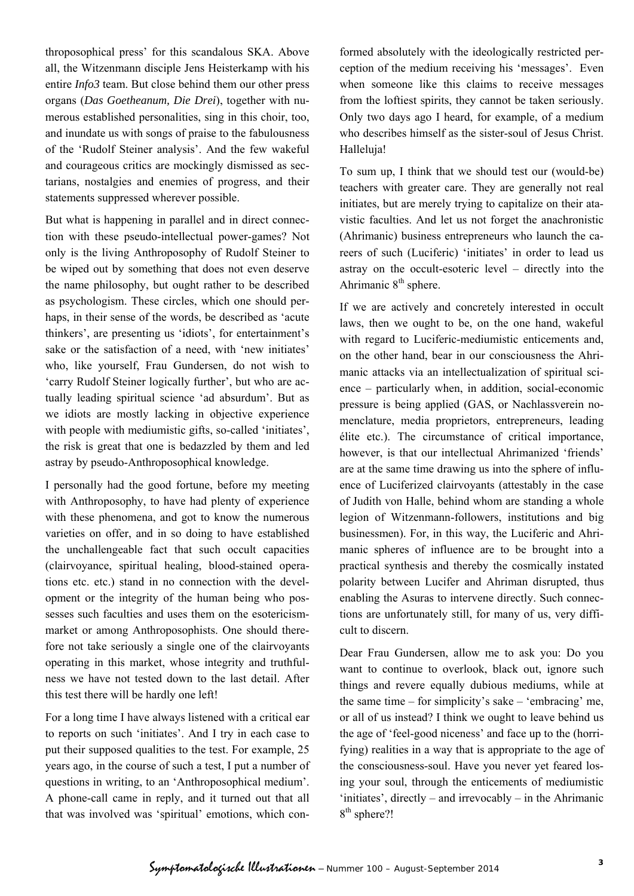throposophical press' for this scandalous SKA. Above all, the Witzenmann disciple Jens Heisterkamp with his entire *Info3* team. But close behind them our other press organs (*Das Goetheanum, Die Drei*), together with numerous established personalities, sing in this choir, too, and inundate us with songs of praise to the fabulousness of the 'Rudolf Steiner analysis'. And the few wakeful and courageous critics are mockingly dismissed as sectarians, nostalgies and enemies of progress, and their statements suppressed wherever possible.

But what is happening in parallel and in direct connection with these pseudo-intellectual power-games? Not only is the living Anthroposophy of Rudolf Steiner to be wiped out by something that does not even deserve the name philosophy, but ought rather to be described as psychologism. These circles, which one should perhaps, in their sense of the words, be described as 'acute thinkers', are presenting us 'idiots', for entertainment's sake or the satisfaction of a need, with 'new initiates' who, like yourself, Frau Gundersen, do not wish to 'carry Rudolf Steiner logically further', but who are actually leading spiritual science 'ad absurdum'. But as we idiots are mostly lacking in objective experience with people with mediumistic gifts, so-called 'initiates', the risk is great that one is bedazzled by them and led astray by pseudo-Anthroposophical knowledge.

I personally had the good fortune, before my meeting with Anthroposophy, to have had plenty of experience with these phenomena, and got to know the numerous varieties on offer, and in so doing to have established the unchallengeable fact that such occult capacities (clairvoyance, spiritual healing, blood-stained operations etc. etc.) stand in no connection with the development or the integrity of the human being who possesses such faculties and uses them on the esotericismmarket or among Anthroposophists. One should therefore not take seriously a single one of the clairvoyants operating in this market, whose integrity and truthfulness we have not tested down to the last detail. After this test there will be hardly one left!

For a long time I have always listened with a critical ear to reports on such 'initiates'. And I try in each case to put their supposed qualities to the test. For example, 25 years ago, in the course of such a test, I put a number of questions in writing, to an 'Anthroposophical medium'. A phone-call came in reply, and it turned out that all that was involved was 'spiritual' emotions, which con-

formed absolutely with the ideologically restricted perception of the medium receiving his 'messages'. Even when someone like this claims to receive messages from the loftiest spirits, they cannot be taken seriously. Only two days ago I heard, for example, of a medium who describes himself as the sister-soul of Jesus Christ. Halleluja!

To sum up, I think that we should test our (would-be) teachers with greater care. They are generally not real initiates, but are merely trying to capitalize on their atavistic faculties. And let us not forget the anachronistic (Ahrimanic) business entrepreneurs who launch the careers of such (Luciferic) 'initiates' in order to lead us astray on the occult-esoteric level – directly into the Ahrimanic  $8<sup>th</sup>$  sphere.

If we are actively and concretely interested in occult laws, then we ought to be, on the one hand, wakeful with regard to Luciferic-mediumistic enticements and, on the other hand, bear in our consciousness the Ahrimanic attacks via an intellectualization of spiritual science – particularly when, in addition, social-economic pressure is being applied (GAS, or Nachlassverein nomenclature, media proprietors, entrepreneurs, leading élite etc.). The circumstance of critical importance, however, is that our intellectual Ahrimanized 'friends' are at the same time drawing us into the sphere of influence of Luciferized clairvoyants (attestably in the case of Judith von Halle, behind whom are standing a whole legion of Witzenmann-followers, institutions and big businessmen). For, in this way, the Luciferic and Ahrimanic spheres of influence are to be brought into a practical synthesis and thereby the cosmically instated polarity between Lucifer and Ahriman disrupted, thus enabling the Asuras to intervene directly. Such connections are unfortunately still, for many of us, very difficult to discern.

Dear Frau Gundersen, allow me to ask you: Do you want to continue to overlook, black out, ignore such things and revere equally dubious mediums, while at the same time – for simplicity's sake – 'embracing' me, or all of us instead? I think we ought to leave behind us the age of 'feel-good niceness' and face up to the (horrifying) realities in a way that is appropriate to the age of the consciousness-soul. Have you never yet feared losing your soul, through the enticements of mediumistic 'initiates', directly – and irrevocably – in the Ahrimanic 8<sup>th</sup> sphere?!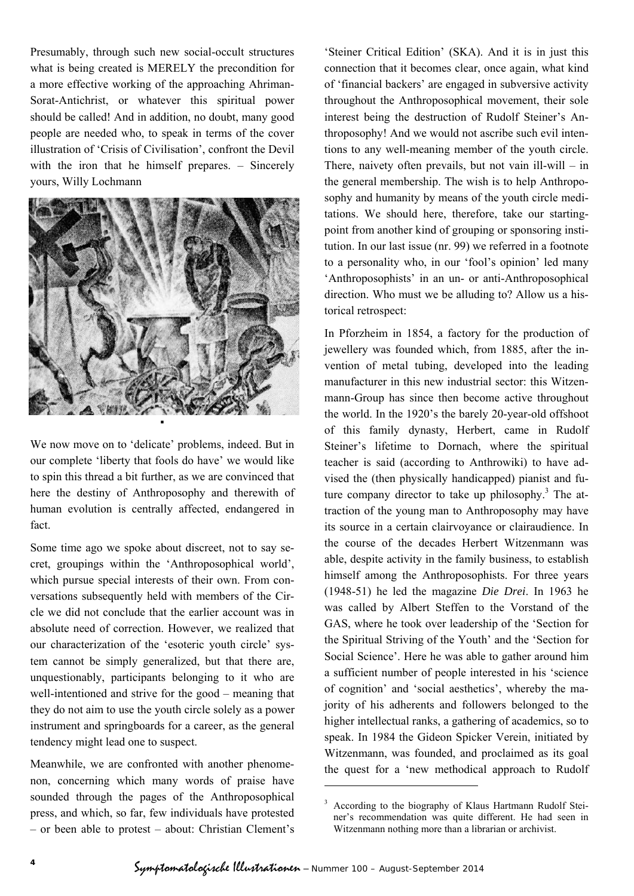Presumably, through such new social-occult structures what is being created is MERELY the precondition for a more effective working of the approaching Ahriman-Sorat-Antichrist, or whatever this spiritual power should be called! And in addition, no doubt, many good people are needed who, to speak in terms of the cover illustration of 'Crisis of Civilisation', confront the Devil with the iron that he himself prepares. – Sincerely yours, Willy Lochmann



We now move on to 'delicate' problems, indeed. But in our complete 'liberty that fools do have' we would like to spin this thread a bit further, as we are convinced that here the destiny of Anthroposophy and therewith of human evolution is centrally affected, endangered in fact.

Some time ago we spoke about discreet, not to say secret, groupings within the 'Anthroposophical world', which pursue special interests of their own. From conversations subsequently held with members of the Circle we did not conclude that the earlier account was in absolute need of correction. However, we realized that our characterization of the 'esoteric youth circle' system cannot be simply generalized, but that there are, unquestionably, participants belonging to it who are well-intentioned and strive for the good – meaning that they do not aim to use the youth circle solely as a power instrument and springboards for a career, as the general tendency might lead one to suspect.

Meanwhile, we are confronted with another phenomenon, concerning which many words of praise have sounded through the pages of the Anthroposophical press, and which, so far, few individuals have protested – or been able to protest – about: Christian Clement's

'Steiner Critical Edition' (SKA). And it is in just this connection that it becomes clear, once again, what kind of 'financial backers' are engaged in subversive activity throughout the Anthroposophical movement, their sole interest being the destruction of Rudolf Steiner's Anthroposophy! And we would not ascribe such evil intentions to any well-meaning member of the youth circle. There, naivety often prevails, but not vain ill-will – in the general membership. The wish is to help Anthroposophy and humanity by means of the youth circle meditations. We should here, therefore, take our startingpoint from another kind of grouping or sponsoring institution. In our last issue (nr. 99) we referred in a footnote to a personality who, in our 'fool's opinion' led many 'Anthroposophists' in an un- or anti-Anthroposophical direction. Who must we be alluding to? Allow us a historical retrospect:

In Pforzheim in 1854, a factory for the production of jewellery was founded which, from 1885, after the invention of metal tubing, developed into the leading manufacturer in this new industrial sector: this Witzenmann-Group has since then become active throughout the world. In the 1920's the barely 20-year-old offshoot of this family dynasty, Herbert, came in Rudolf Steiner's lifetime to Dornach, where the spiritual teacher is said (according to Anthrowiki) to have advised the (then physically handicapped) pianist and future company director to take up philosophy. $3$  The attraction of the young man to Anthroposophy may have its source in a certain clairvoyance or clairaudience. In the course of the decades Herbert Witzenmann was able, despite activity in the family business, to establish himself among the Anthroposophists. For three years (1948-51) he led the magazine *Die Drei*. In 1963 he was called by Albert Steffen to the Vorstand of the GAS, where he took over leadership of the 'Section for the Spiritual Striving of the Youth' and the 'Section for Social Science'. Here he was able to gather around him a sufficient number of people interested in his 'science of cognition' and 'social aesthetics', whereby the majority of his adherents and followers belonged to the higher intellectual ranks, a gathering of academics, so to speak. In 1984 the Gideon Spicker Verein, initiated by Witzenmann, was founded, and proclaimed as its goal the quest for a 'new methodical approach to Rudolf

-

<sup>3</sup> According to the biography of Klaus Hartmann Rudolf Steiner's recommendation was quite different. He had seen in Witzenmann nothing more than a librarian or archivist.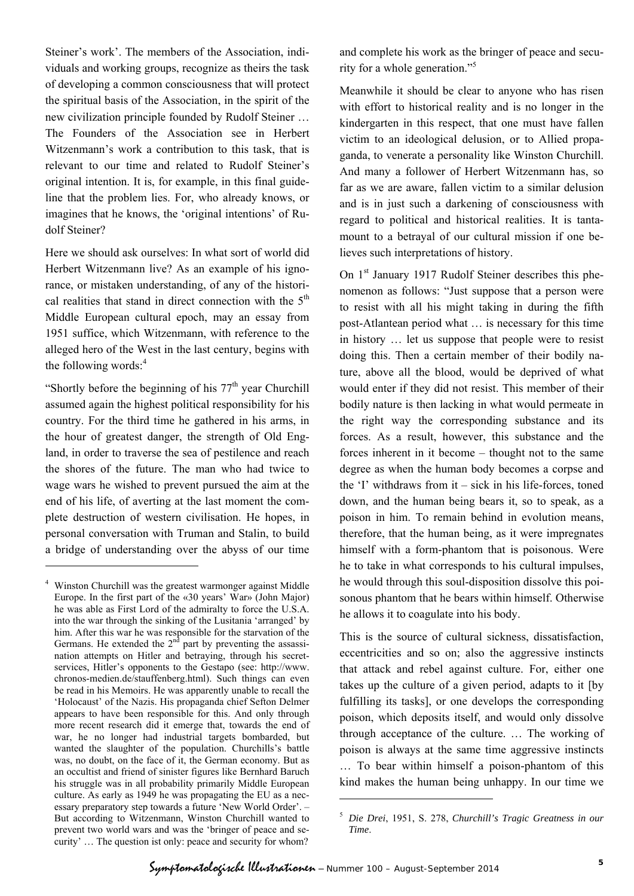Steiner's work'. The members of the Association, individuals and working groups, recognize as theirs the task of developing a common consciousness that will protect the spiritual basis of the Association, in the spirit of the new civilization principle founded by Rudolf Steiner … The Founders of the Association see in Herbert Witzenmann's work a contribution to this task, that is relevant to our time and related to Rudolf Steiner's original intention. It is, for example, in this final guideline that the problem lies. For, who already knows, or imagines that he knows, the 'original intentions' of Rudolf Steiner?

Here we should ask ourselves: In what sort of world did Herbert Witzenmann live? As an example of his ignorance, or mistaken understanding, of any of the historical realities that stand in direct connection with the  $5<sup>th</sup>$ Middle European cultural epoch, may an essay from 1951 suffice, which Witzenmann, with reference to the alleged hero of the West in the last century, begins with the following words: $4$ 

"Shortly before the beginning of his  $77<sup>th</sup>$  year Churchill assumed again the highest political responsibility for his country. For the third time he gathered in his arms, in the hour of greatest danger, the strength of Old England, in order to traverse the sea of pestilence and reach the shores of the future. The man who had twice to wage wars he wished to prevent pursued the aim at the end of his life, of averting at the last moment the complete destruction of western civilisation. He hopes, in personal conversation with Truman and Stalin, to build a bridge of understanding over the abyss of our time

l

and complete his work as the bringer of peace and security for a whole generation."5

Meanwhile it should be clear to anyone who has risen with effort to historical reality and is no longer in the kindergarten in this respect, that one must have fallen victim to an ideological delusion, or to Allied propaganda, to venerate a personality like Winston Churchill. And many a follower of Herbert Witzenmann has, so far as we are aware, fallen victim to a similar delusion and is in just such a darkening of consciousness with regard to political and historical realities. It is tantamount to a betrayal of our cultural mission if one believes such interpretations of history.

On 1st January 1917 Rudolf Steiner describes this phenomenon as follows: "Just suppose that a person were to resist with all his might taking in during the fifth post-Atlantean period what … is necessary for this time in history … let us suppose that people were to resist doing this. Then a certain member of their bodily nature, above all the blood, would be deprived of what would enter if they did not resist. This member of their bodily nature is then lacking in what would permeate in the right way the corresponding substance and its forces. As a result, however, this substance and the forces inherent in it become – thought not to the same degree as when the human body becomes a corpse and the 'I' withdraws from it – sick in his life-forces, toned down, and the human being bears it, so to speak, as a poison in him. To remain behind in evolution means, therefore, that the human being, as it were impregnates himself with a form-phantom that is poisonous. Were he to take in what corresponds to his cultural impulses, he would through this soul-disposition dissolve this poisonous phantom that he bears within himself. Otherwise he allows it to coagulate into his body.

This is the source of cultural sickness, dissatisfaction, eccentricities and so on; also the aggressive instincts that attack and rebel against culture. For, either one takes up the culture of a given period, adapts to it [by fulfilling its tasks], or one develops the corresponding poison, which deposits itself, and would only dissolve through acceptance of the culture. … The working of poison is always at the same time aggressive instincts … To bear within himself a poison-phantom of this kind makes the human being unhappy. In our time we

-

<sup>4</sup> Winston Churchill was the greatest warmonger against Middle Europe. In the first part of the «30 years' War» (John Major) he was able as First Lord of the admiralty to force the U.S.A. into the war through the sinking of the Lusitania 'arranged' by him. After this war he was responsible for the starvation of the Germans. He extended the  $2<sup>n</sup>$  part by preventing the assassination attempts on Hitler and betraying, through his secretservices, Hitler's opponents to the Gestapo (see: http://www. chronos-medien.de/stauffenberg.html). Such things can even be read in his Memoirs. He was apparently unable to recall the 'Holocaust' of the Nazis. His propaganda chief Sefton Delmer appears to have been responsible for this. And only through more recent research did it emerge that, towards the end of war, he no longer had industrial targets bombarded, but wanted the slaughter of the population. Churchills's battle was, no doubt, on the face of it, the German economy. But as an occultist and friend of sinister figures like Bernhard Baruch his struggle was in all probability primarily Middle European culture. As early as 1949 he was propagating the EU as a necessary preparatory step towards a future 'New World Order'. – But according to Witzenmann, Winston Churchill wanted to prevent two world wars and was the 'bringer of peace and security' … The question ist only: peace and security for whom?

<sup>5</sup> *Die Drei*, 1951, S. 278, *Churchill's Tragic Greatness in our Time*.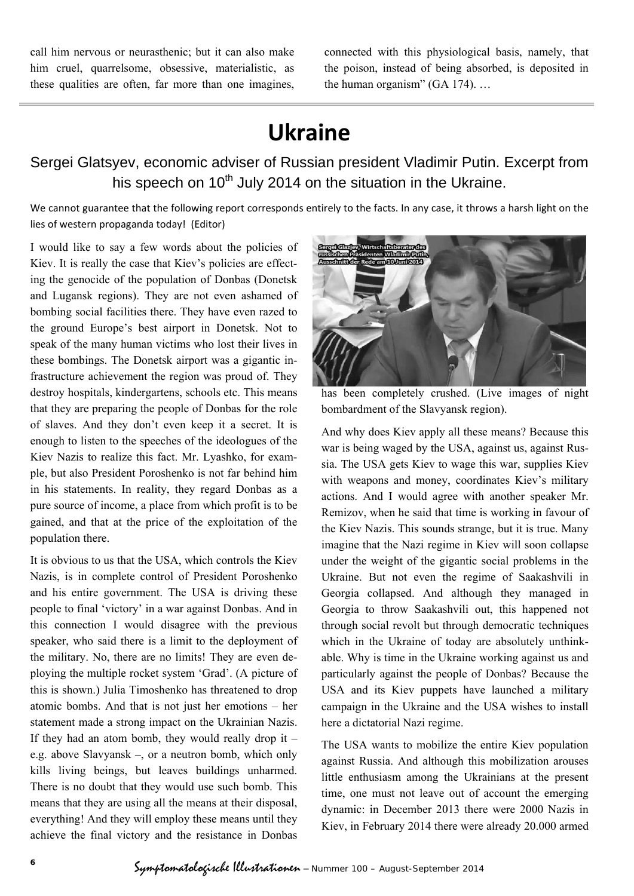call him nervous or neurasthenic; but it can also make him cruel, quarrelsome, obsessive, materialistic, as these qualities are often, far more than one imagines, connected with this physiological basis, namely, that the poison, instead of being absorbed, is deposited in the human organism" (GA 174). …

# **Ukraine**

## Sergei Glatsyev, economic adviser of Russian president Vladimir Putin. Excerpt from his speech on  $10<sup>th</sup>$  July 2014 on the situation in the Ukraine.

We cannot guarantee that the following report corresponds entirely to the facts. In any case, it throws a harsh light on the lies of western propaganda today! (Editor)

I would like to say a few words about the policies of Kiev. It is really the case that Kiev's policies are effecting the genocide of the population of Donbas (Donetsk and Lugansk regions). They are not even ashamed of bombing social facilities there. They have even razed to the ground Europe's best airport in Donetsk. Not to speak of the many human victims who lost their lives in these bombings. The Donetsk airport was a gigantic infrastructure achievement the region was proud of. They destroy hospitals, kindergartens, schools etc. This means that they are preparing the people of Donbas for the role of slaves. And they don't even keep it a secret. It is enough to listen to the speeches of the ideologues of the Kiev Nazis to realize this fact. Mr. Lyashko, for example, but also President Poroshenko is not far behind him in his statements. In reality, they regard Donbas as a pure source of income, a place from which profit is to be gained, and that at the price of the exploitation of the population there.

It is obvious to us that the USA, which controls the Kiev Nazis, is in complete control of President Poroshenko and his entire government. The USA is driving these people to final 'victory' in a war against Donbas. And in this connection I would disagree with the previous speaker, who said there is a limit to the deployment of the military. No, there are no limits! They are even deploying the multiple rocket system 'Grad'. (A picture of this is shown.) Julia Timoshenko has threatened to drop atomic bombs. And that is not just her emotions – her statement made a strong impact on the Ukrainian Nazis. If they had an atom bomb, they would really drop it  $$ e.g. above Slavyansk –, or a neutron bomb, which only kills living beings, but leaves buildings unharmed. There is no doubt that they would use such bomb. This means that they are using all the means at their disposal, everything! And they will employ these means until they achieve the final victory and the resistance in Donbas



has been completely crushed. (Live images of night bombardment of the Slavyansk region).

And why does Kiev apply all these means? Because this war is being waged by the USA, against us, against Russia. The USA gets Kiev to wage this war, supplies Kiev with weapons and money, coordinates Kiev's military actions. And I would agree with another speaker Mr. Remizov, when he said that time is working in favour of the Kiev Nazis. This sounds strange, but it is true. Many imagine that the Nazi regime in Kiev will soon collapse under the weight of the gigantic social problems in the Ukraine. But not even the regime of Saakashvili in Georgia collapsed. And although they managed in Georgia to throw Saakashvili out, this happened not through social revolt but through democratic techniques which in the Ukraine of today are absolutely unthinkable. Why is time in the Ukraine working against us and particularly against the people of Donbas? Because the USA and its Kiev puppets have launched a military campaign in the Ukraine and the USA wishes to install here a dictatorial Nazi regime.

The USA wants to mobilize the entire Kiev population against Russia. And although this mobilization arouses little enthusiasm among the Ukrainians at the present time, one must not leave out of account the emerging dynamic: in December 2013 there were 2000 Nazis in Kiev, in February 2014 there were already 20.000 armed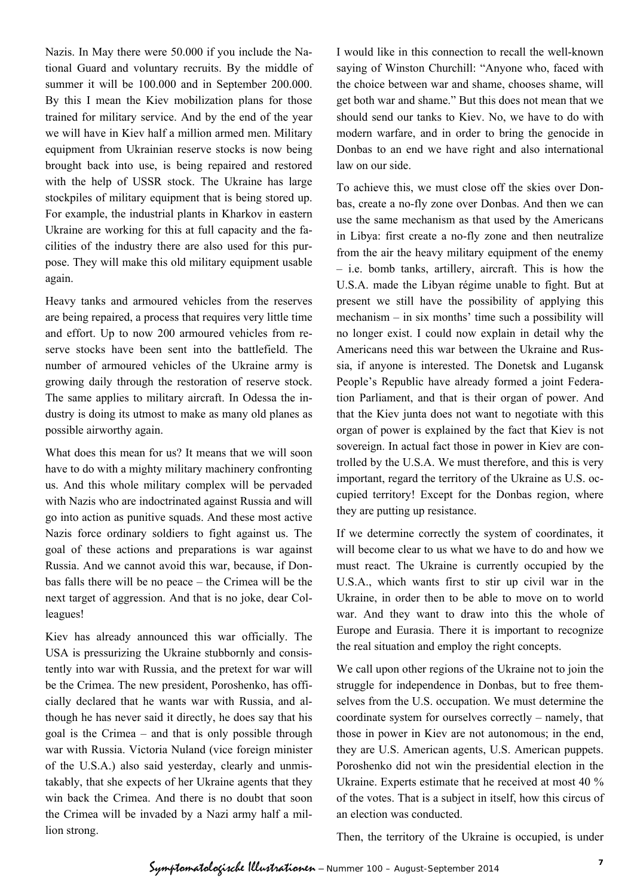Nazis. In May there were 50.000 if you include the National Guard and voluntary recruits. By the middle of summer it will be 100.000 and in September 200.000. By this I mean the Kiev mobilization plans for those trained for military service. And by the end of the year we will have in Kiev half a million armed men. Military equipment from Ukrainian reserve stocks is now being brought back into use, is being repaired and restored with the help of USSR stock. The Ukraine has large stockpiles of military equipment that is being stored up. For example, the industrial plants in Kharkov in eastern Ukraine are working for this at full capacity and the facilities of the industry there are also used for this purpose. They will make this old military equipment usable again.

Heavy tanks and armoured vehicles from the reserves are being repaired, a process that requires very little time and effort. Up to now 200 armoured vehicles from reserve stocks have been sent into the battlefield. The number of armoured vehicles of the Ukraine army is growing daily through the restoration of reserve stock. The same applies to military aircraft. In Odessa the industry is doing its utmost to make as many old planes as possible airworthy again.

What does this mean for us? It means that we will soon have to do with a mighty military machinery confronting us. And this whole military complex will be pervaded with Nazis who are indoctrinated against Russia and will go into action as punitive squads. And these most active Nazis force ordinary soldiers to fight against us. The goal of these actions and preparations is war against Russia. And we cannot avoid this war, because, if Donbas falls there will be no peace – the Crimea will be the next target of aggression. And that is no joke, dear Colleagues!

Kiev has already announced this war officially. The USA is pressurizing the Ukraine stubbornly and consistently into war with Russia, and the pretext for war will be the Crimea. The new president, Poroshenko, has officially declared that he wants war with Russia, and although he has never said it directly, he does say that his goal is the Crimea – and that is only possible through war with Russia. Victoria Nuland (vice foreign minister of the U.S.A.) also said yesterday, clearly and unmistakably, that she expects of her Ukraine agents that they win back the Crimea. And there is no doubt that soon the Crimea will be invaded by a Nazi army half a million strong.

I would like in this connection to recall the well-known saying of Winston Churchill: "Anyone who, faced with the choice between war and shame, chooses shame, will get both war and shame." But this does not mean that we should send our tanks to Kiev. No, we have to do with modern warfare, and in order to bring the genocide in Donbas to an end we have right and also international law on our side.

To achieve this, we must close off the skies over Donbas, create a no-fly zone over Donbas. And then we can use the same mechanism as that used by the Americans in Libya: first create a no-fly zone and then neutralize from the air the heavy military equipment of the enemy – i.e. bomb tanks, artillery, aircraft. This is how the U.S.A. made the Libyan régime unable to fight. But at present we still have the possibility of applying this mechanism – in six months' time such a possibility will no longer exist. I could now explain in detail why the Americans need this war between the Ukraine and Russia, if anyone is interested. The Donetsk and Lugansk People's Republic have already formed a joint Federation Parliament, and that is their organ of power. And that the Kiev junta does not want to negotiate with this organ of power is explained by the fact that Kiev is not sovereign. In actual fact those in power in Kiev are controlled by the U.S.A. We must therefore, and this is very important, regard the territory of the Ukraine as U.S. occupied territory! Except for the Donbas region, where they are putting up resistance.

If we determine correctly the system of coordinates, it will become clear to us what we have to do and how we must react. The Ukraine is currently occupied by the U.S.A., which wants first to stir up civil war in the Ukraine, in order then to be able to move on to world war. And they want to draw into this the whole of Europe and Eurasia. There it is important to recognize the real situation and employ the right concepts.

We call upon other regions of the Ukraine not to join the struggle for independence in Donbas, but to free themselves from the U.S. occupation. We must determine the coordinate system for ourselves correctly – namely, that those in power in Kiev are not autonomous; in the end, they are U.S. American agents, U.S. American puppets. Poroshenko did not win the presidential election in the Ukraine. Experts estimate that he received at most 40 % of the votes. That is a subject in itself, how this circus of an election was conducted.

Then, the territory of the Ukraine is occupied, is under